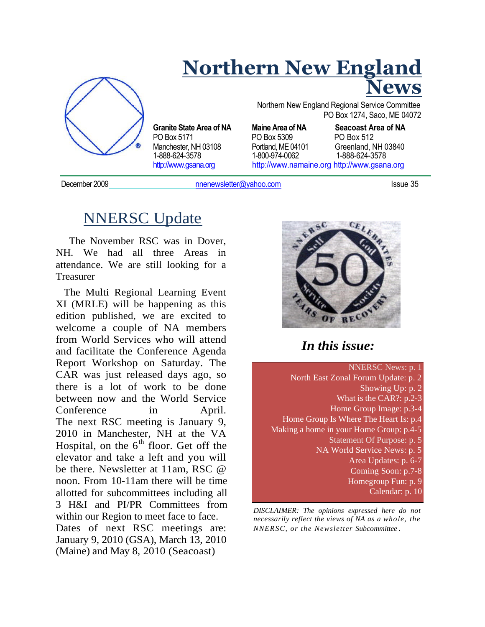

### **Northern New England News**

Northern New England Regional Service Committee PO Box 1274, Saco, ME 04072

PO Box 5171 **PO Box 5309** PO Box 512<br>
Manchester. NH 03108 Portland. ME 04101 Greenland. NH 03840 Manchester, NH 03108 Portland, ME 041<br>1-888-624-3578 1-800-974-0062 http://www.gsana.org http://www.namaine.org http://www.gsana.org

**Granite State Area of NA Maine Area of NA Seacoast Area of NA** 1-888-624-3578 1-800-974-0062 1-888-624-3578

December 2009 **December 2009** nnenewsletter@yahoo.com **Issue 35** 

### NNERSC Update

The November RSC was in Dover, NH. We had all three Areas in attendance. We are still looking for a Treasurer

The Multi Regional Learning Event XI (MRLE) will be happening as this edition published, we are excited to welcome a couple of NA members from World Services who will attend and facilitate the Conference Agenda Report Workshop on Saturday. The CAR was just released days ago, so there is a lot of work to be done between now and the World Service Conference in April. The next RSC meeting is January 9, 2010 in Manchester, NH at the VA Hospital, on the  $6<sup>th</sup>$  floor. Get off the elevator and take a left and you will be there. Newsletter at 11am, RSC @ noon. From 10-11am there will be time allotted for subcommittees including all 3 H&I and PI/PR Committees from within our Region to meet face to face. Dates of next RSC meetings are: January 9, 2010 (GSA), March 13, 2010 (Maine) and May 8, 2010 (Seacoast)



#### *In this issue:*

NNERSC News: p. 1 North East Zonal Forum Update: p. 2 Showing Up: p. 2 What is the CAR?: p.2-3 Home Group Image: p.3-4 Home Group Is Where The Heart Is: p.4 Making a home in your Home Group: p.4-5 Statement Of Purpose: p. 5 NA World Service News: p. 5 Area Updates: p. 6-7 Coming Soon: p.7-8 Homegroup Fun: p. 9 Calendar: p. 10

*DISCLAIMER: The opinions expressed here do not necessarily reflect the views of NA as a whole, the NNERSC, or the Newsletter Subcommittee .*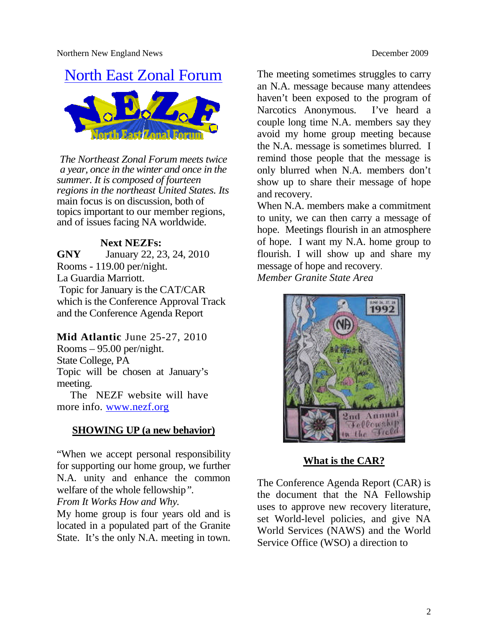# North East Zonal Forum



*The Northeast Zonal Forum meets twice a year, once in the winter and once in the summer. It is composed of fourteen regions in the northeast United States. Its* main focus is on discussion, both of topics important to our member regions, and of issues facing NA worldwide.

#### **Next NEZFs:**

**GNY** January 22, 23, 24, 2010 Rooms - 119.00 per/night. La Guardia Marriott. Topic for January is the CAT/CAR which is the Conference Approval Track and the Conference Agenda Report

#### **Mid Atlantic** June 25-27, 2010

Rooms – 95.00 per/night. State College, PA Topic will be chosen at January's meeting.

The NEZF website will have more info. www.nezf.org

#### **SHOWING UP (a new behavior)**

"When we accept personal responsibility for supporting our home group, we further N.A. unity and enhance the common welfare of the whole fellowship*".*

#### *From It Works How and Why.*

My home group is four years old and is located in a populated part of the Granite State. It's the only N.A. meeting in town. The meeting sometimes struggles to carry an N.A. message because many attendees haven't been exposed to the program of Narcotics Anonymous. I've heard a couple long time N.A. members say they avoid my home group meeting because the N.A. message is sometimes blurred. I remind those people that the message is only blurred when N.A. members don't show up to share their message of hope and recovery.

When N.A. members make a commitment to unity, we can then carry a message of hope. Meetings flourish in an atmosphere of hope. I want my N.A. home group to flourish. I will show up and share my message of hope and recovery. *Member Granite State Area*



#### **What is the CAR?**

The Conference Agenda Report (CAR) is the document that the NA Fellowship uses to approve new recovery literature, set World-level policies, and give NA World Services (NAWS) and the World Service Office (WSO) a direction to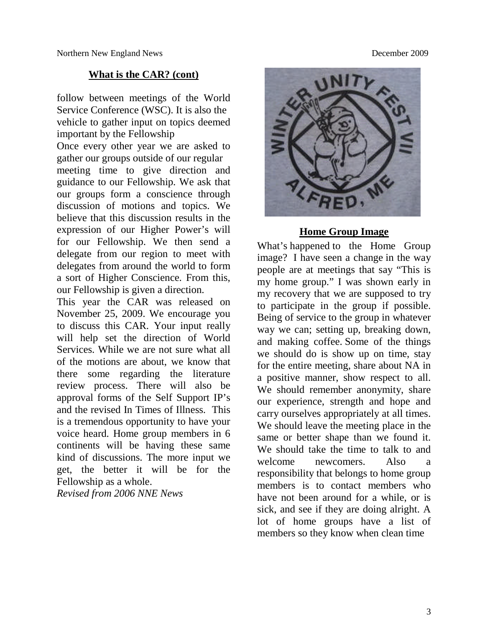#### **What is the CAR? (cont)**

follow between meetings of the World Service Conference (WSC). It is also the vehicle to gather input on topics deemed important by the Fellowship

Once every other year we are asked to gather our groups outside of our regular meeting time to give direction and guidance to our Fellowship. We ask that our groups form a conscience through discussion of motions and topics. We believe that this discussion results in the expression of our Higher Power's will for our Fellowship. We then send a delegate from our region to meet with delegates from around the world to form a sort of Higher Conscience. From this, our Fellowship is given a direction.

This year the CAR was released on November 25, 2009. We encourage you to discuss this CAR. Your input really will help set the direction of World Services. While we are not sure what all of the motions are about, we know that there some regarding the literature review process. There will also be approval forms of the Self Support IP's and the revised In Times of Illness. This is a tremendous opportunity to have your voice heard. Home group members in 6 continents will be having these same kind of discussions. The more input we get, the better it will be for the Fellowship as a whole.

*Revised from 2006 NNE News*



#### **Home Group Image**

What's happened to the Home Group image? I have seen a change in the way people are at meetings that say "This is my home group." I was shown early in my recovery that we are supposed to try to participate in the group if possible. Being of service to the group in whatever way we can; setting up, breaking down, and making coffee. Some of the things we should do is show up on time, stay for the entire meeting, share about NA in a positive manner, show respect to all. We should remember anonymity, share our experience, strength and hope and carry ourselves appropriately at all times. We should leave the meeting place in the same or better shape than we found it. We should take the time to talk to and welcome newcomers. Also a responsibility that belongs to home group members is to contact members who have not been around for a while, or is sick, and see if they are doing alright. A lot of home groups have a list of members so they know when clean time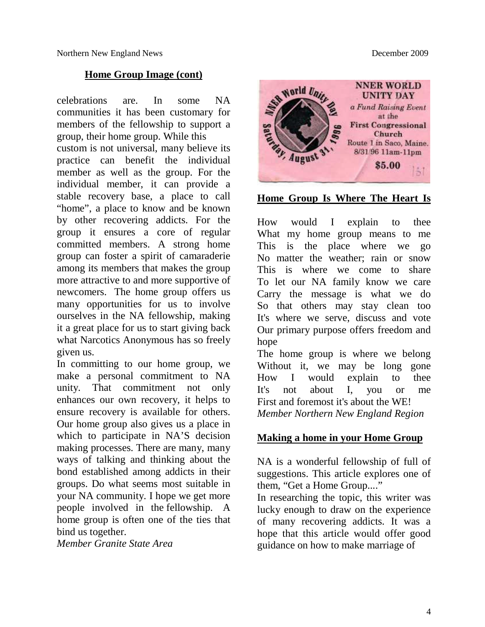#### **Home Group Image (cont)**

celebrations are. In some NA communities it has been customary for members of the fellowship to support a group, their home group. While this

custom is not universal, many believe its practice can benefit the individual member as well as the group. For the individual member, it can provide a stable recovery base, a place to call "home", a place to know and be known by other recovering addicts. For the group it ensures a core of regular committed members. A strong home group can foster a spirit of camaraderie among its members that makes the group more attractive to and more supportive of newcomers. The home group offers us many opportunities for us to involve ourselves in the NA fellowship, making it a great place for us to start giving back what Narcotics Anonymous has so freely given us.

In committing to our home group, we make a personal commitment to NA unity. That commitment not only enhances our own recovery, it helps to ensure recovery is available for others. Our home group also gives us a place in which to participate in NA'S decision making processes. There are many, many ways of talking and thinking about the bond established among addicts in their groups. Do what seems most suitable in your NA community. I hope we get more people involved in the fellowship. A home group is often one of the ties that bind us together.

*Member Granite State Area*



#### **Home Group Is Where The Heart Is**

How would I explain to thee What my home group means to me This is the place where we go No matter the weather; rain or snow This is where we come to share To let our NA family know we care Carry the message is what we do So that others may stay clean too It's where we serve, discuss and vote Our primary purpose offers freedom and hope

The home group is where we belong Without it, we may be long gone How I would explain to thee It's not about I, you or me First and foremost it's about the WE! *Member Northern New England Region*

#### **Making a home in your Home Group**

NA is a wonderful fellowship of full of suggestions. This article explores one of them, "Get a Home Group...."

In researching the topic, this writer was lucky enough to draw on the experience of many recovering addicts. It was a hope that this article would offer good guidance on how to make marriage of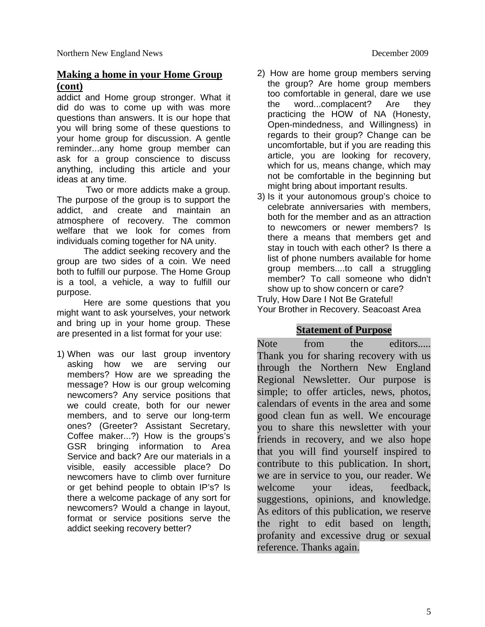#### **Making a home in your Home Group (cont)**

addict and Home group stronger. What it did do was to come up with was more questions than answers. It is our hope that you will bring some of these questions to your home group for discussion. A gentle reminder...any home group member can ask for a group conscience to discuss anything, including this article and your ideas at any time.

Two or more addicts make a group. The purpose of the group is to support the addict, and create and maintain an atmosphere of recovery. The common welfare that we look for comes from individuals coming together for NA unity.

The addict seeking recovery and the group are two sides of a coin. We need both to fulfill our purpose. The Home Group is a tool, a vehicle, a way to fulfill our purpose.

Here are some questions that you might want to ask yourselves, your network and bring up in your home group. These are presented in a list format for your use:

1) When was our last group inventory asking how we are serving our members? How are we spreading the message? How is our group welcoming newcomers? Any service positions that we could create, both for our newer members, and to serve our long-term ones? (Greeter? Assistant Secretary, Coffee maker...?) How is the groups's GSR bringing information to Area Service and back? Are our materials in a visible, easily accessible place? Do newcomers have to climb over furniture or get behind people to obtain IP's? Is there a welcome package of any sort for newcomers? Would a change in layout, format or service positions serve the addict seeking recovery better?

- 2) How are home group members serving the group? Are home group members too comfortable in general, dare we use the word...complacent? Are they practicing the HOW of NA (Honesty, Open-mindedness, and Willingness) in regards to their group? Change can be uncomfortable, but if you are reading this article, you are looking for recovery, which for us, means change, which may not be comfortable in the beginning but might bring about important results.
- 3) Is it your autonomous group's choice to celebrate anniversaries with members, both for the member and as an attraction to newcomers or newer members? Is there a means that members get and stay in touch with each other? Is there a list of phone numbers available for home group members....to call a struggling member? To call someone who didn't show up to show concern or care?

Truly, How Dare I Not Be Grateful! Your Brother in Recovery. Seacoast Area

#### **Statement of Purpose**

Note from the editors..... Thank you for sharing recovery with us through the Northern New England Regional Newsletter. Our purpose is simple; to offer articles, news, photos, calendars of events in the area and some good clean fun as well. We encourage you to share this newsletter with your friends in recovery, and we also hope that you will find yourself inspired to contribute to this publication. In short, we are in service to you, our reader. We welcome your ideas, feedback, suggestions, opinions, and knowledge. As editors of this publication, we reserve the right to edit based on length, profanity and excessive drug or sexual reference. Thanks again.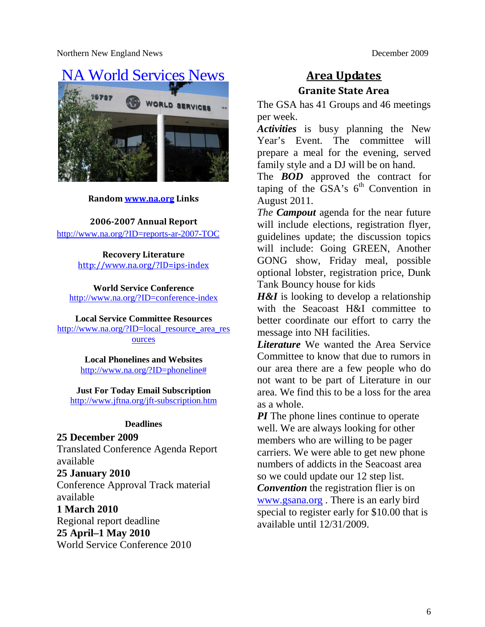

#### **Random www.na.org Links**

**2006-2007 Annual Report**

http://www.na.org/?ID=reports-ar-2007-TOC

**Recovery Literature** http://www.na.org/?ID=ips-index

**World Service Conference** http://www.na.org/?ID=conference-index

**Local Service Committee Resources**

http://www.na.org/?ID=local\_resource\_area\_res ources

> **Local Phonelines and Websites** http://www.na.org/?ID=phoneline#

**Just For Today Email Subscription** http://www.jftna.org/jft-subscription.htm

#### **Deadlines**

**25 December 2009**

Translated Conference Agenda Report available

#### **25 January 2010**

Conference Approval Track material available

**1 March 2010** Regional report deadline

#### **25 April–1 May 2010**

World Service Conference 2010

#### **Area Updates Granite State Area**

The GSA has 41 Groups and 46 meetings per week.

*Activities* is busy planning the New Year's Event. The committee will prepare a meal for the evening, served family style and a DJ will be on hand.

The *BOD* approved the contract for taping of the  $\overline{GSA}$ 's  $6^{\text{th}}$  Convention in August 2011.

*The Campout* agenda for the near future will include elections, registration flyer, guidelines update; the discussion topics will include: Going GREEN, Another GONG show, Friday meal, possible optional lobster, registration price, Dunk Tank Bouncy house for kids

*H&I* is looking to develop a relationship with the Seacoast H&I committee to better coordinate our effort to carry the message into NH facilities.

*Literature* We wanted the Area Service Committee to know that due to rumors in our area there are a few people who do not want to be part of Literature in our area. We find this to be a loss for the area as a whole.

*PI* The phone lines continue to operate well. We are always looking for other members who are willing to be pager carriers. We were able to get new phone numbers of addicts in the Seacoast area so we could update our 12 step list. *Convention* the registration flier is on www.gsana.org . There is an early bird special to register early for \$10.00 that is available until 12/31/2009.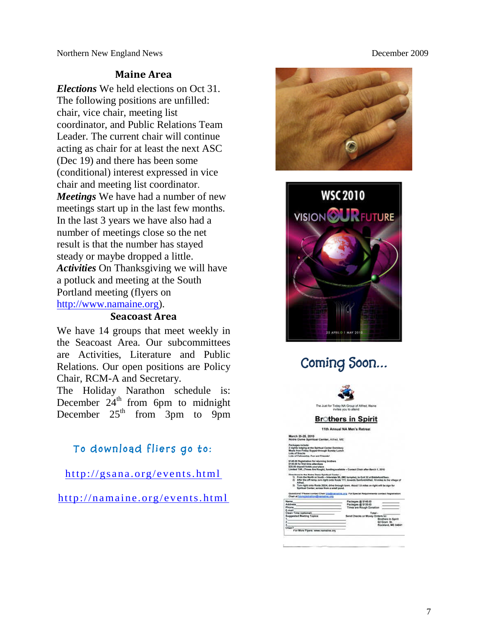#### **Maine Area**

*Elections* We held elections on Oct 31. The following positions are unfilled: chair, vice chair, meeting list coordinator, and Public Relations Team Leader. The current chair will continue acting as chair for at least the next ASC (Dec 19) and there has been some (conditional) interest expressed in vice chair and meeting list coordinator. *Meetings* We have had a number of new meetings start up in the last few months. In the last 3 years we have also had a number of meetings close so the net result is that the number has stayed steady or maybe dropped a little. *Activities* On Thanksgiving we will have a potluck and meeting at the South Portland meeting (flyers on http://www.namaine.org).

#### **Seacoast Area**

We have 14 groups that meet weekly in the Seacoast Area. Our subcommittees are Activities, Literature and Public Relations. Our open positions are Policy Chair, RCM-A and Secretary.

The Holiday Narathon schedule is: December  $24<sup>th</sup>$  from 6pm to midnight December  $25<sup>th</sup>$  from 3pm to 9pm

#### **To download fliers go to:**

http://gsana.org/events.html

http://namaine.org/events.html





### **Coming Soon…**

|                                                                                                                                                                                                                                                                                                                                                                                                                                                                                                                                                                  | The Just for Today NA Group of Afred, Maine<br>briefte of uov attend   |                                                           |
|------------------------------------------------------------------------------------------------------------------------------------------------------------------------------------------------------------------------------------------------------------------------------------------------------------------------------------------------------------------------------------------------------------------------------------------------------------------------------------------------------------------------------------------------------------------|------------------------------------------------------------------------|-----------------------------------------------------------|
|                                                                                                                                                                                                                                                                                                                                                                                                                                                                                                                                                                  | <b>Brothers in Spirit</b>                                              |                                                           |
|                                                                                                                                                                                                                                                                                                                                                                                                                                                                                                                                                                  | 11th Annual NA Men's Retreat                                           |                                                           |
| March 26-28, 2010<br>Notre Dame Spiritual Center, Athed, ME                                                                                                                                                                                                                                                                                                                                                                                                                                                                                                      |                                                                        |                                                           |
| Packases include:<br>2 sights todging at the Spiritual Center Domitory<br>Meals from Finder Support through Sunday Lunch<br>Lots of Seacks<br>Lots of Fellowship, Fun and Friends!                                                                                                                                                                                                                                                                                                                                                                               |                                                                        |                                                           |
| \$145.00 Registration for returning brothers<br>\$130.00 for first time attendance<br>\$25.00 deposit holds your place<br>Limited TAR, (Times Are Rough), funding available - Contact Chair after March 1, 2010                                                                                                                                                                                                                                                                                                                                                  |                                                                        |                                                           |
| Directions to the Notre Dame Spiritual Center -<br>1) From the North or South - Interstate 35, (NE turnalise), to Exit 32 at Elistiahers Saco.<br>2) After the off ramp, turn right onto Route 111, towards Sanford/Afred. 10 miles to the village of<br>Athwai.<br>3). Turn right coto Route 202/4, drive through town. About 1.5 miles on right will be sign for<br>Spiritual Center, scross from a small pond.<br>Questions? Please cordect Chair bis@namalist.org For Special Requirements contact Registration.<br>Chair at bis resistrationdinamains, org. |                                                                        |                                                           |
| Name:<br><b>Address</b><br><b>Phone</b><br>E-mail                                                                                                                                                                                                                                                                                                                                                                                                                                                                                                                | Packages # \$145.00<br>Packages @ \$130.00<br>Timos are Rough Donation |                                                           |
| Clean Time (optioned)<br><b>Supported Meeting Topics:</b><br>5.<br>2<br>ä.<br>Chair?                                                                                                                                                                                                                                                                                                                                                                                                                                                                             | Total -<br>Send Checks or Money Orders to:                             | Brothers In Spirit<br>62 Grant, St.<br>Rockland, ME 04841 |
| For More Flyers: www.namaine.org                                                                                                                                                                                                                                                                                                                                                                                                                                                                                                                                 |                                                                        |                                                           |
|                                                                                                                                                                                                                                                                                                                                                                                                                                                                                                                                                                  |                                                                        |                                                           |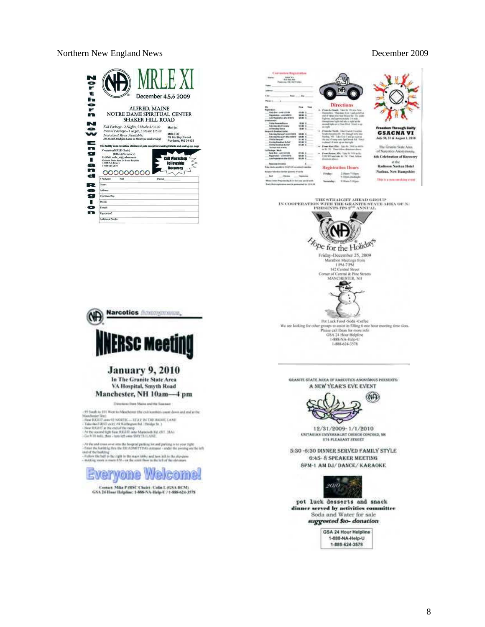#### Northern December 4,5,6 2009 ALFRED. MAINE NOTRE DAME SPIRITUAL CENTER SHAKER HILL ROAD **SOZ** Full Package - 2 Nights, 5 Meals: \$130.00 Maii to:<br>Partial Package - 1 Night, 3 Meals: \$75.00 MRLE X<br>Individual Meals Available:<br>113.00 with Brokjos, Louis or Dinne (or mail: Friday) 50 Martia MRLE XI<br>59 Hartley Street<br>Portland, ME 04183  $\equiv$ **man** na racany aosa not anaw ch<br>
(RIEE Chair)<br>
(RIEE Chair)<br>
E-Mail: natle\_xi@yaboo.e<br>
Crane Stat Ara 24 Hase H<br>
1.888-NA-fielg-U<br>
1.888-NA-fielg-U<br>
1.888-NA-fielg-U ò. **Recovery** 000000000 d **Package Full Region**  $r = \frac{1}{2}$



 $\begin{tabular}{c} \bf{THE STRAIGHT AHEAD GRO1P}\\ \bf{IN COOPERATION WITH THE GRANITE STATE AHEA OF N}\\ \bf{PRESENTS} \text{ TPS 2}^{3D} \text{ ANNUAL} \end{tabular}$ 



For Luck Food -Soda -Coffee<br>propy to ant hour marting time slots. Please call Dean for more information<br> $\mathrm{GSA}$ 24 Hour Helpline 1-888-NA-Help-U<br>1-888-624-3578

GRANITE STATE AREA OF NAROTICS ANONYMOUS PRESENTS: A NEW YEAR'S EVE EVENT



12/31/2009-1/1/2010 **UNITARIAN UNIVERSALIST CHURCH CONCORD, NH<br>ETA FLEASANT STREET** 

5:30 -6:30 DINNER SERVED FAMILY STYLE 6:45- 8 SPEAKER MEETING 8PM-1 AM DJ/DANCE/KARAOKE



pot luck desserts and snack dinner served by netivities committee<br>Soda and Water for sale suggested \$10-donation

> GSA 24 Hour Helpline 1-888-NA-Help-U 1-888-624-3578

## **CHO INERSC Meeting**

Narcotics *(hannopmann*).

**January 9, 2010** 

In The Granite State Area VA Hospital, Smyth Road Manchester, NH 10am-4 pm

Oingriese free Mains and the Susener

-17 Seath to 131 West is Algorithmas (the exit in<br>antises count down and end of the Manchurier level is of the Common the<br>season of the Common State ( $\sim$  Common State Common<br>state of the Common State Common State ( $\sim$  C

: At the and connected onto the benefits<br>if policy is not provided by the field of the state of the state of<br> $\alpha$  of the backing the state of the backing<br> $\alpha$  and of the backing the state of the backing the state<br>of the b



Contact: Mike P (RSC Chair) - Calia I. (GSA BCM)<br>GSA 24 Hour Helpline: 1-888-NA-Help-U / 1-888-624-3578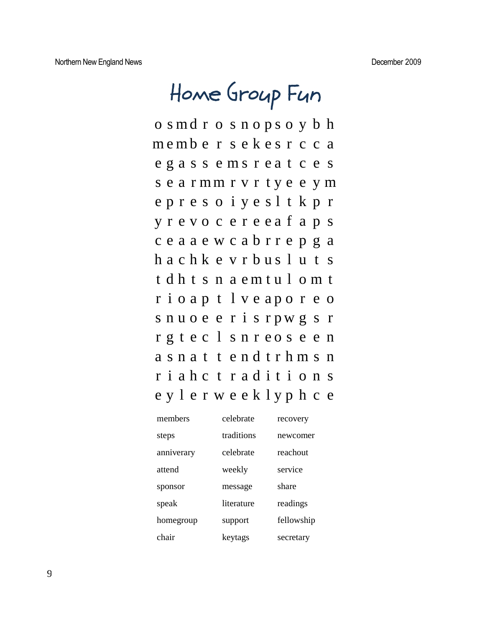# **Home Group Fun**

o s md r o s n o p s o y b h m e mb e r s e k e s r c c a e g a s s e m s r e a t c e s s e a r mm r v r t y e e y m e p r e s o i y e s l t k p r y r e v o c e r e e a f a p s c e a a e w c a b r r e p g a h a c h k e v r b u s l u t s t d h t s n a e m t u l o m t r i o a p t l v e a p o r e o s n u o e e r i s r p w g s r r g t e c l s n r e o s e e n a s n a t t e n d t r h m s n r i a h c t r a d i t i o n s e y l e r w e e k l y p h c e

| members    | celebrate  | recovery   |
|------------|------------|------------|
| steps      | traditions | newcomer   |
| anniverary | celebrate  | reachout   |
| attend     | weekly     | service    |
| sponsor    | message    | share      |
| speak      | literature | readings   |
| homegroup  | support    | fellowship |
| chair      | keytags    | secretary  |